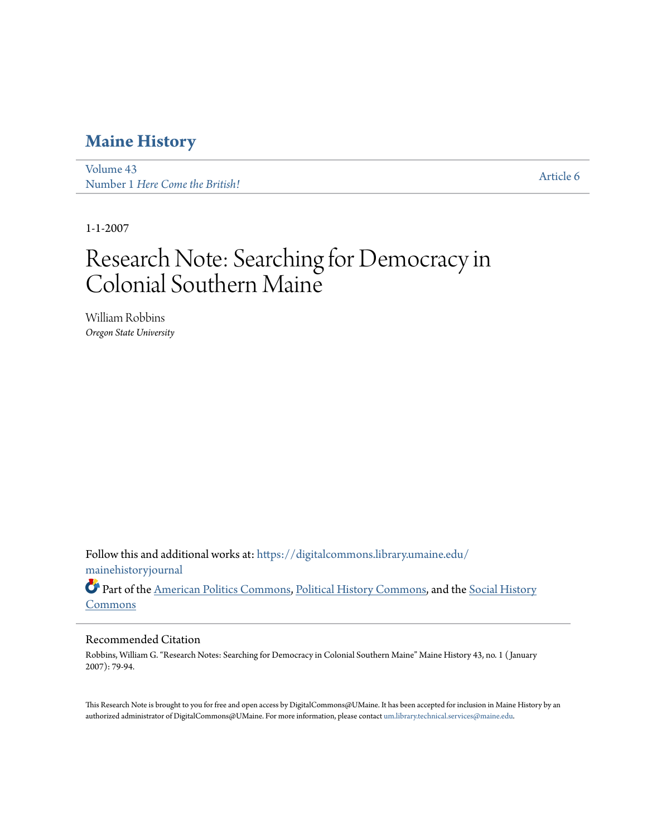[Volume 43](https://digitalcommons.library.umaine.edu/mainehistoryjournal/vol43?utm_source=digitalcommons.library.umaine.edu%2Fmainehistoryjournal%2Fvol43%2Fiss1%2F6&utm_medium=PDF&utm_campaign=PDFCoverPages) volume 45<br>Number 1 *[Here Come the British!](https://digitalcommons.library.umaine.edu/mainehistoryjournal/vol43/iss1?utm_source=digitalcommons.library.umaine.edu%2Fmainehistoryjournal%2Fvol43%2Fiss1%2F6&utm_medium=PDF&utm_campaign=PDFCoverPages)* [Article 6](https://digitalcommons.library.umaine.edu/mainehistoryjournal/vol43/iss1/6?utm_source=digitalcommons.library.umaine.edu%2Fmainehistoryjournal%2Fvol43%2Fiss1%2F6&utm_medium=PDF&utm_campaign=PDFCoverPages)

1-1-2007

# Research Note: Searching for Democracy in Colonial Southern Maine

William Robbins *Oregon State University*

Follow this and additional works at: [https://digitalcommons.library.umaine.edu/](https://digitalcommons.library.umaine.edu/mainehistoryjournal?utm_source=digitalcommons.library.umaine.edu%2Fmainehistoryjournal%2Fvol43%2Fiss1%2F6&utm_medium=PDF&utm_campaign=PDFCoverPages) [mainehistoryjournal](https://digitalcommons.library.umaine.edu/mainehistoryjournal?utm_source=digitalcommons.library.umaine.edu%2Fmainehistoryjournal%2Fvol43%2Fiss1%2F6&utm_medium=PDF&utm_campaign=PDFCoverPages)

Part of the [American Politics Commons](http://network.bepress.com/hgg/discipline/387?utm_source=digitalcommons.library.umaine.edu%2Fmainehistoryjournal%2Fvol43%2Fiss1%2F6&utm_medium=PDF&utm_campaign=PDFCoverPages), [Political History Commons](http://network.bepress.com/hgg/discipline/505?utm_source=digitalcommons.library.umaine.edu%2Fmainehistoryjournal%2Fvol43%2Fiss1%2F6&utm_medium=PDF&utm_campaign=PDFCoverPages), and the [Social History](http://network.bepress.com/hgg/discipline/506?utm_source=digitalcommons.library.umaine.edu%2Fmainehistoryjournal%2Fvol43%2Fiss1%2F6&utm_medium=PDF&utm_campaign=PDFCoverPages) **[Commons](http://network.bepress.com/hgg/discipline/506?utm_source=digitalcommons.library.umaine.edu%2Fmainehistoryjournal%2Fvol43%2Fiss1%2F6&utm_medium=PDF&utm_campaign=PDFCoverPages)** 

#### Recommended Citation

Robbins, William G. "Research Notes: Searching for Democracy in Colonial Southern Maine" Maine History 43, no. 1 ( January 2007): 79-94.

This Research Note is brought to you for free and open access by DigitalCommons@UMaine. It has been accepted for inclusion in Maine History by an authorized administrator of DigitalCommons@UMaine. For more information, please contact [um.library.technical.services@maine.edu.](mailto:um.library.technical.services@maine.edu)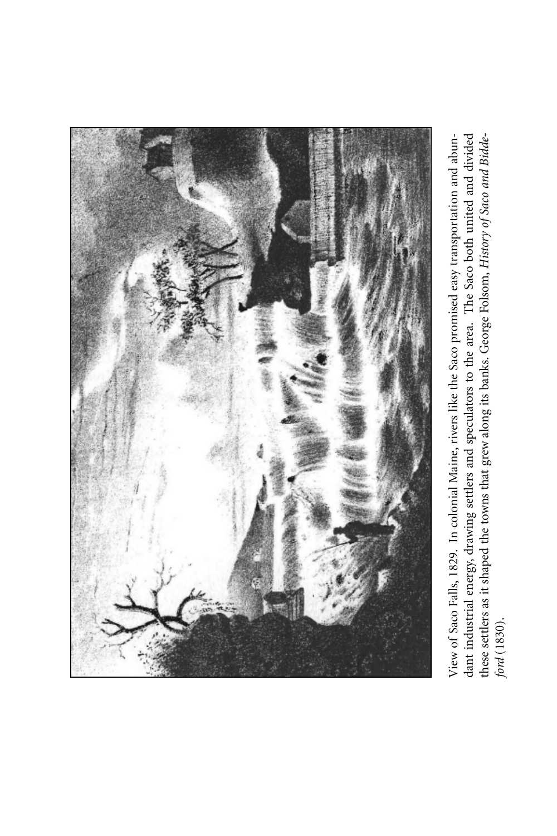

dant industrial energy, drawing settlers and speculators to the area. The Saco both united and divided View of Saco Falls, 1829. In colonial Maine, rivers like the Saco promised easy transportation and abunthese settlers as it shaped the towns that grew along its banks. George Folsom, History of Saco and Bidde-View of Saco Falls, 1829. In colonial Maine, rivers like the Saco promised easy transportation and abun-*History of Saco and Bidde-*The Saco both united and di these settlers as it shaped the towns that grew along its banks. George Folsom, y, drawing settlers and speculators to the area. dant industrial energ *ford* (1830).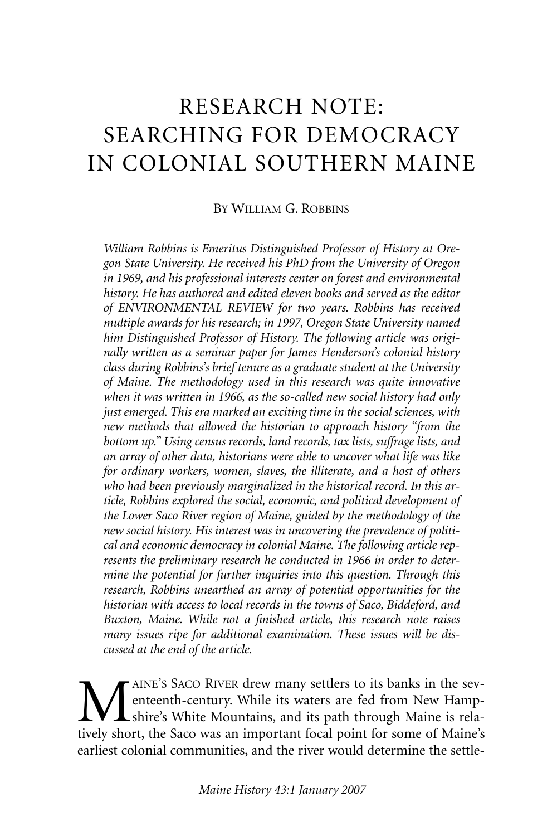## RESEARCH NOTE: SEARCHING FOR DEMOCRACY IN COLONIAL SOUTHERN MAINE

#### BY WILLIAM G. ROBBINS

*William Robbins is Emeritus Distinguished Professor of History at Oregon State University. He received his PhD from the University of Oregon in 1969, and his professional interests center on forest and environmental history. He has authored and edited eleven books and served as the editor of ENVIRONMENTAL REVIEW for two years. Robbins has received multiple awards for his research; in 1997, Oregon State University named him Distinguished Professor of History. The following article was originally written as a seminar paper for James Henderson's colonial history class during Robbins's brief tenure as a graduate student at the University of Maine. The methodology used in this research was quite innovative when it was written in 1966, as the so-called new social history had only just emerged. This era marked an exciting time in the social sciences, with new methods that allowed the historian to approach history "from the bottom up." Using census records, land records, tax lists, suffrage lists, and an array of other data, historians were able to uncover what life was like for ordinary workers, women, slaves, the illiterate, and a host of others who had been previously marginalized in the historical record. In this article, Robbins explored the social, economic, and political development of the Lower Saco River region of Maine, guided by the methodology of the new social history. His interest was in uncovering the prevalence of political and economic democracy in colonial Maine. The following article represents the preliminary research he conducted in 1966 in order to determine the potential for further inquiries into this question. Through this research, Robbins unearthed an array of potential opportunities for the historian with access to local records in the towns of Saco, Biddeford, and Buxton, Maine. While not a finished article, this research note raises many issues ripe for additional examination. These issues will be discussed at the end of the article.*

MAINE'S SACO RIVER drew many settlers to its banks in the sev-<br>enterth-century. While its waters are fed from New Hamp-<br>tively short the Saco was an important focal point for some of Maine's enteenth-century. While its waters are fed from New Hampshire's White Mountains, and its path through Maine is relatively short, the Saco was an important focal point for some of Maine's earliest colonial communities, and the river would determine the settle-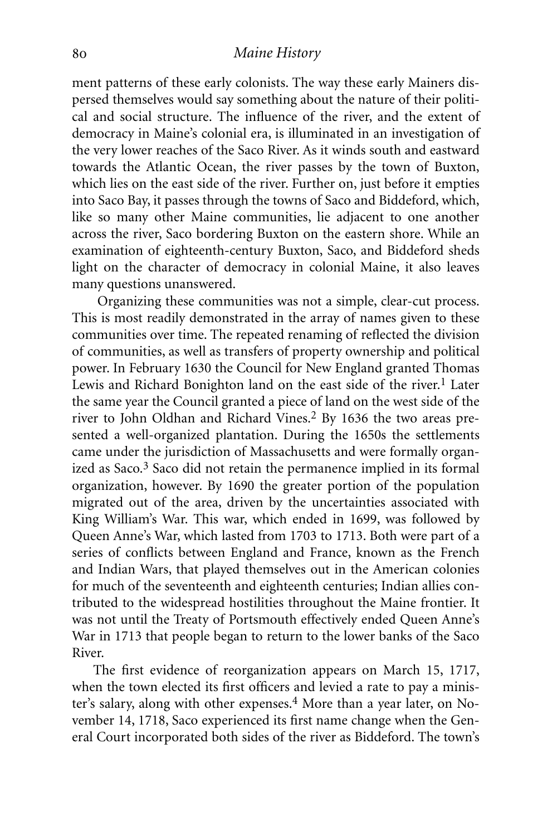ment patterns of these early colonists. The way these early Mainers dispersed themselves would say something about the nature of their political and social structure. The influence of the river, and the extent of democracy in Maine's colonial era, is illuminated in an investigation of the very lower reaches of the Saco River. As it winds south and eastward towards the Atlantic Ocean, the river passes by the town of Buxton, which lies on the east side of the river. Further on, just before it empties into Saco Bay, it passes through the towns of Saco and Biddeford, which, like so many other Maine communities, lie adjacent to one another across the river, Saco bordering Buxton on the eastern shore. While an examination of eighteenth-century Buxton, Saco, and Biddeford sheds light on the character of democracy in colonial Maine, it also leaves many questions unanswered.

Organizing these communities was not a simple, clear-cut process. This is most readily demonstrated in the array of names given to these communities over time. The repeated renaming of reflected the division of communities, as well as transfers of property ownership and political power. In February 1630 the Council for New England granted Thomas Lewis and Richard Bonighton land on the east side of the river.<sup>1</sup> Later the same year the Council granted a piece of land on the west side of the river to John Oldhan and Richard Vines.<sup>2</sup> By 1636 the two areas presented a well-organized plantation. During the 1650s the settlements came under the jurisdiction of Massachusetts and were formally organized as Saco.3 Saco did not retain the permanence implied in its formal organization, however. By 1690 the greater portion of the population migrated out of the area, driven by the uncertainties associated with King William's War. This war, which ended in 1699, was followed by Queen Anne's War, which lasted from 1703 to 1713. Both were part of a series of conflicts between England and France, known as the French and Indian Wars, that played themselves out in the American colonies for much of the seventeenth and eighteenth centuries; Indian allies contributed to the widespread hostilities throughout the Maine frontier. It was not until the Treaty of Portsmouth effectively ended Queen Anne's War in 1713 that people began to return to the lower banks of the Saco River.

The first evidence of reorganization appears on March 15, 1717, when the town elected its first officers and levied a rate to pay a minister's salary, along with other expenses.<sup>4</sup> More than a year later, on November 14, 1718, Saco experienced its first name change when the General Court incorporated both sides of the river as Biddeford. The town's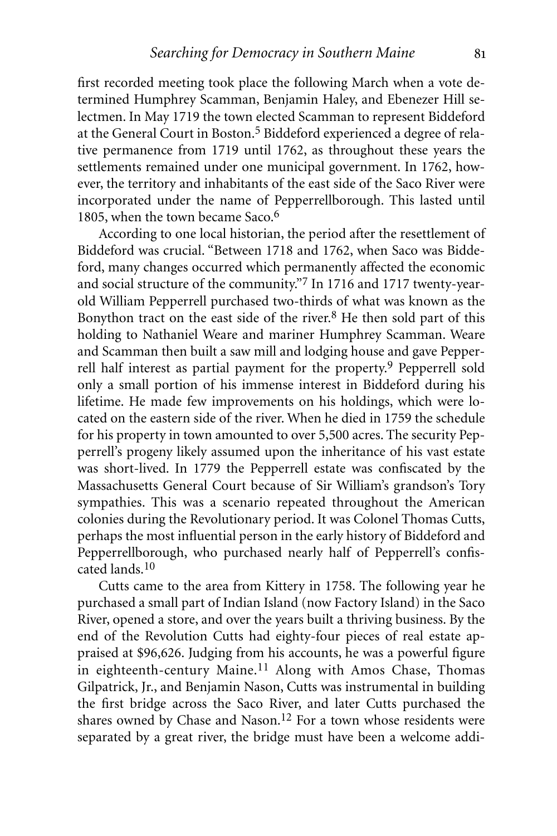first recorded meeting took place the following March when a vote determined Humphrey Scamman, Benjamin Haley, and Ebenezer Hill selectmen. In May 1719 the town elected Scamman to represent Biddeford at the General Court in Boston.5 Biddeford experienced a degree of relative permanence from 1719 until 1762, as throughout these years the settlements remained under one municipal government. In 1762, however, the territory and inhabitants of the east side of the Saco River were incorporated under the name of Pepperrellborough. This lasted until 1805, when the town became Saco.<sup>6</sup>

According to one local historian, the period after the resettlement of Biddeford was crucial. "Between 1718 and 1762, when Saco was Biddeford, many changes occurred which permanently affected the economic and social structure of the community."7 In 1716 and 1717 twenty-yearold William Pepperrell purchased two-thirds of what was known as the Bonython tract on the east side of the river. $8$  He then sold part of this holding to Nathaniel Weare and mariner Humphrey Scamman. Weare and Scamman then built a saw mill and lodging house and gave Pepperrell half interest as partial payment for the property.<sup>9</sup> Pepperrell sold only a small portion of his immense interest in Biddeford during his lifetime. He made few improvements on his holdings, which were located on the eastern side of the river. When he died in 1759 the schedule for his property in town amounted to over 5,500 acres. The security Pepperrell's progeny likely assumed upon the inheritance of his vast estate was short-lived. In 1779 the Pepperrell estate was confiscated by the Massachusetts General Court because of Sir William's grandson's Tory sympathies. This was a scenario repeated throughout the American colonies during the Revolutionary period. It was Colonel Thomas Cutts, perhaps the most influential person in the early history of Biddeford and Pepperrellborough, who purchased nearly half of Pepperrell's confiscated lands.10

Cutts came to the area from Kittery in 1758. The following year he purchased a small part of Indian Island (now Factory Island) in the Saco River, opened a store, and over the years built a thriving business. By the end of the Revolution Cutts had eighty-four pieces of real estate appraised at \$96,626. Judging from his accounts, he was a powerful figure in eighteenth-century Maine.<sup>11</sup> Along with Amos Chase, Thomas Gilpatrick, Jr., and Benjamin Nason, Cutts was instrumental in building the first bridge across the Saco River, and later Cutts purchased the shares owned by Chase and Nason.<sup>12</sup> For a town whose residents were separated by a great river, the bridge must have been a welcome addi-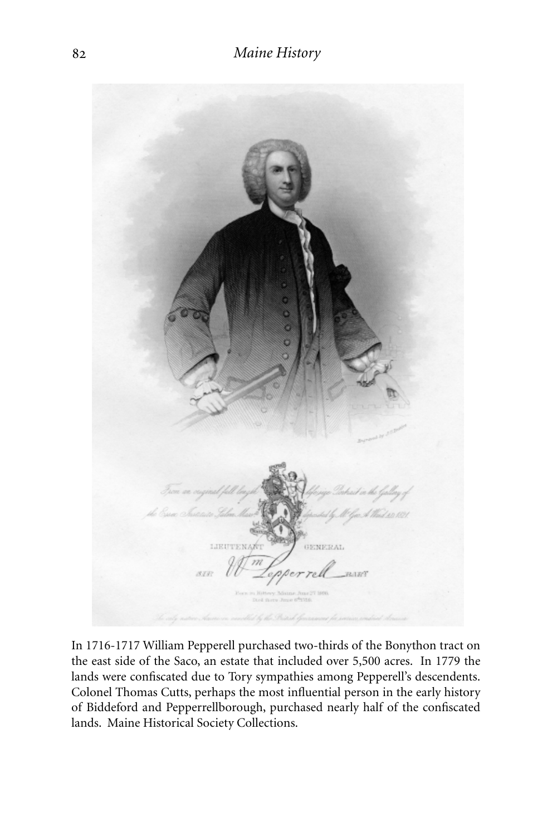

In 1716-1717 William Pepperell purchased two-thirds of the Bonython tract on the east side of the Saco, an estate that included over 5,500 acres. In 1779 the lands were confiscated due to Tory sympathies among Pepperell's descendents. Colonel Thomas Cutts, perhaps the most influential person in the early history of Biddeford and Pepperrellborough, purchased nearly half of the confiscated lands. Maine Historical Society Collections.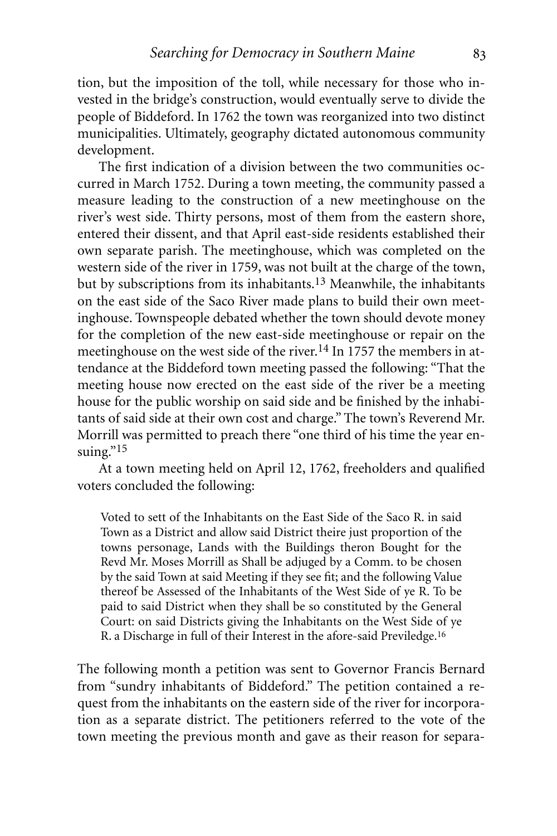tion, but the imposition of the toll, while necessary for those who invested in the bridge's construction, would eventually serve to divide the people of Biddeford. In 1762 the town was reorganized into two distinct municipalities. Ultimately, geography dictated autonomous community development.

The first indication of a division between the two communities occurred in March 1752. During a town meeting, the community passed a measure leading to the construction of a new meetinghouse on the river's west side. Thirty persons, most of them from the eastern shore, entered their dissent, and that April east-side residents established their own separate parish. The meetinghouse, which was completed on the western side of the river in 1759, was not built at the charge of the town, but by subscriptions from its inhabitants.13 Meanwhile, the inhabitants on the east side of the Saco River made plans to build their own meetinghouse. Townspeople debated whether the town should devote money for the completion of the new east-side meetinghouse or repair on the meetinghouse on the west side of the river.<sup>14</sup> In 1757 the members in attendance at the Biddeford town meeting passed the following: "That the meeting house now erected on the east side of the river be a meeting house for the public worship on said side and be finished by the inhabitants of said side at their own cost and charge." The town's Reverend Mr. Morrill was permitted to preach there "one third of his time the year ensuing."15

At a town meeting held on April 12, 1762, freeholders and qualified voters concluded the following:

Voted to sett of the Inhabitants on the East Side of the Saco R. in said Town as a District and allow said District theire just proportion of the towns personage, Lands with the Buildings theron Bought for the Revd Mr. Moses Morrill as Shall be adjuged by a Comm. to be chosen by the said Town at said Meeting if they see fit; and the following Value thereof be Assessed of the Inhabitants of the West Side of ye R. To be paid to said District when they shall be so constituted by the General Court: on said Districts giving the Inhabitants on the West Side of ye R. a Discharge in full of their Interest in the afore-said Previledge.16

The following month a petition was sent to Governor Francis Bernard from "sundry inhabitants of Biddeford." The petition contained a request from the inhabitants on the eastern side of the river for incorporation as a separate district. The petitioners referred to the vote of the town meeting the previous month and gave as their reason for separa-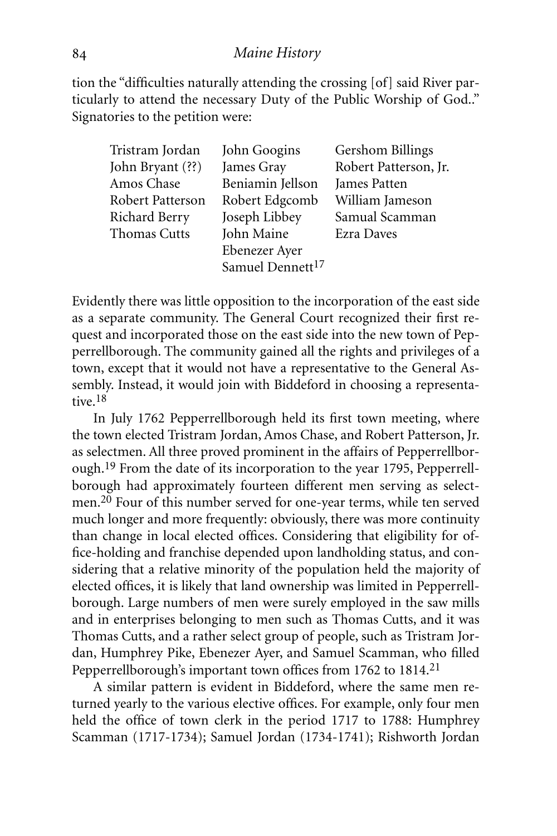tion the "difficulties naturally attending the crossing [of] said River particularly to attend the necessary Duty of the Public Worship of God.." Signatories to the petition were:

| John Googins                 | Gershom Billings      |
|------------------------------|-----------------------|
| James Gray                   | Robert Patterson, Jr. |
| Beniamin Jellson             | James Patten          |
| Robert Edgcomb               | William Jameson       |
| Joseph Libbey                | Samual Scamman        |
| John Maine                   | Ezra Daves            |
| Ebenezer Ayer                |                       |
| Samuel Dennett <sup>17</sup> |                       |
|                              |                       |

Evidently there was little opposition to the incorporation of the east side as a separate community. The General Court recognized their first request and incorporated those on the east side into the new town of Pepperrellborough. The community gained all the rights and privileges of a town, except that it would not have a representative to the General Assembly. Instead, it would join with Biddeford in choosing a representative.18

In July 1762 Pepperrellborough held its first town meeting, where the town elected Tristram Jordan, Amos Chase, and Robert Patterson, Jr. as selectmen. All three proved prominent in the affairs of Pepperrellborough.19 From the date of its incorporation to the year 1795, Pepperrellborough had approximately fourteen different men serving as selectmen.20 Four of this number served for one-year terms, while ten served much longer and more frequently: obviously, there was more continuity than change in local elected offices. Considering that eligibility for office-holding and franchise depended upon landholding status, and considering that a relative minority of the population held the majority of elected offices, it is likely that land ownership was limited in Pepperrellborough. Large numbers of men were surely employed in the saw mills and in enterprises belonging to men such as Thomas Cutts, and it was Thomas Cutts, and a rather select group of people, such as Tristram Jordan, Humphrey Pike, Ebenezer Ayer, and Samuel Scamman, who filled Pepperrellborough's important town offices from 1762 to 1814.<sup>21</sup>

A similar pattern is evident in Biddeford, where the same men returned yearly to the various elective offices. For example, only four men held the office of town clerk in the period 1717 to 1788: Humphrey Scamman (1717-1734); Samuel Jordan (1734-1741); Rishworth Jordan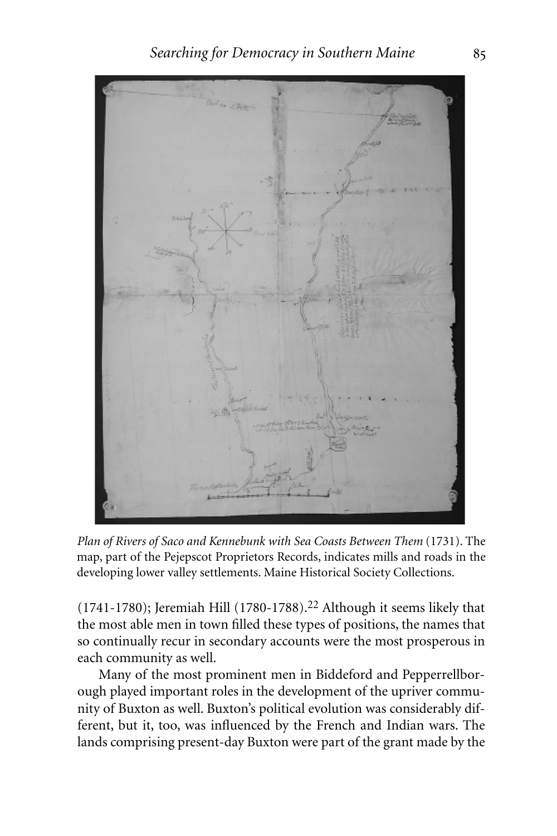

*Plan of Rivers of Saco and Kennebunk with Sea Coasts Between Them* (1731). The map, part of the Pejepscot Proprietors Records, indicates mills and roads in the developing lower valley settlements. Maine Historical Society Collections.

(1741-1780); Jeremiah Hill (1780-1788).22 Although it seems likely that the most able men in town filled these types of positions, the names that so continually recur in secondary accounts were the most prosperous in each community as well.

Many of the most prominent men in Biddeford and Pepperrellborough played important roles in the development of the upriver community of Buxton as well. Buxton's political evolution was considerably different, but it, too, was influenced by the French and Indian wars. The lands comprising present-day Buxton were part of the grant made by the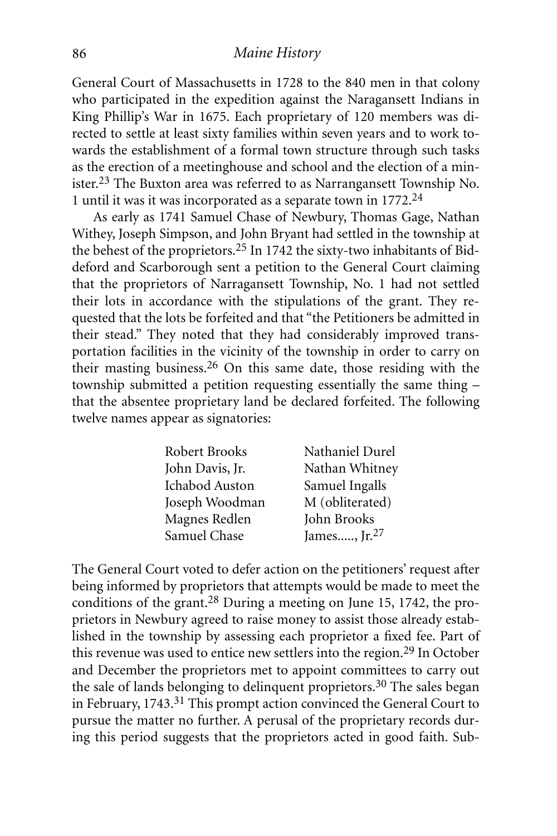General Court of Massachusetts in 1728 to the 840 men in that colony who participated in the expedition against the Naragansett Indians in King Phillip's War in 1675. Each proprietary of 120 members was directed to settle at least sixty families within seven years and to work towards the establishment of a formal town structure through such tasks as the erection of a meetinghouse and school and the election of a minister.23 The Buxton area was referred to as Narrangansett Township No. 1 until it was it was incorporated as a separate town in 1772.24

As early as 1741 Samuel Chase of Newbury, Thomas Gage, Nathan Withey, Joseph Simpson, and John Bryant had settled in the township at the behest of the proprietors.25 In 1742 the sixty-two inhabitants of Biddeford and Scarborough sent a petition to the General Court claiming that the proprietors of Narragansett Township, No. 1 had not settled their lots in accordance with the stipulations of the grant. They requested that the lots be forfeited and that "the Petitioners be admitted in their stead." They noted that they had considerably improved transportation facilities in the vicinity of the township in order to carry on their masting business.26 On this same date, those residing with the township submitted a petition requesting essentially the same thing – that the absentee proprietary land be declared forfeited. The following twelve names appear as signatories:

| Nathaniel Durel  |
|------------------|
| Nathan Whitney   |
| Samuel Ingalls   |
| M (obliterated)  |
| John Brooks      |
| James, $Jr^{27}$ |
|                  |

The General Court voted to defer action on the petitioners' request after being informed by proprietors that attempts would be made to meet the conditions of the grant.28 During a meeting on June 15, 1742, the proprietors in Newbury agreed to raise money to assist those already established in the township by assessing each proprietor a fixed fee. Part of this revenue was used to entice new settlers into the region.<sup>29</sup> In October and December the proprietors met to appoint committees to carry out the sale of lands belonging to delinquent proprietors.<sup>30</sup> The sales began in February, 1743.31 This prompt action convinced the General Court to pursue the matter no further. A perusal of the proprietary records during this period suggests that the proprietors acted in good faith. Sub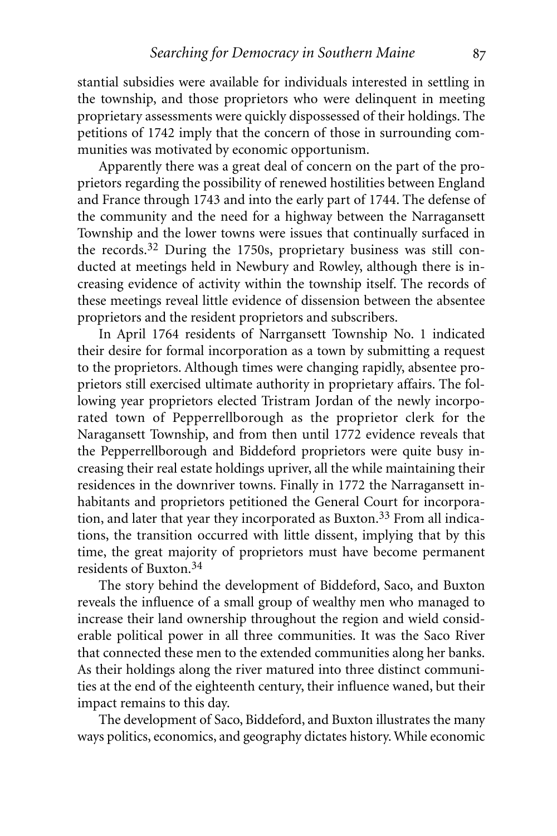stantial subsidies were available for individuals interested in settling in the township, and those proprietors who were delinquent in meeting proprietary assessments were quickly dispossessed of their holdings. The petitions of 1742 imply that the concern of those in surrounding communities was motivated by economic opportunism.

Apparently there was a great deal of concern on the part of the proprietors regarding the possibility of renewed hostilities between England and France through 1743 and into the early part of 1744. The defense of the community and the need for a highway between the Narragansett Township and the lower towns were issues that continually surfaced in the records.32 During the 1750s, proprietary business was still conducted at meetings held in Newbury and Rowley, although there is increasing evidence of activity within the township itself. The records of these meetings reveal little evidence of dissension between the absentee proprietors and the resident proprietors and subscribers.

In April 1764 residents of Narrgansett Township No. 1 indicated their desire for formal incorporation as a town by submitting a request to the proprietors. Although times were changing rapidly, absentee proprietors still exercised ultimate authority in proprietary affairs. The following year proprietors elected Tristram Jordan of the newly incorporated town of Pepperrellborough as the proprietor clerk for the Naragansett Township, and from then until 1772 evidence reveals that the Pepperrellborough and Biddeford proprietors were quite busy increasing their real estate holdings upriver, all the while maintaining their residences in the downriver towns. Finally in 1772 the Narragansett inhabitants and proprietors petitioned the General Court for incorporation, and later that year they incorporated as Buxton.<sup>33</sup> From all indications, the transition occurred with little dissent, implying that by this time, the great majority of proprietors must have become permanent residents of Buxton.34

The story behind the development of Biddeford, Saco, and Buxton reveals the influence of a small group of wealthy men who managed to increase their land ownership throughout the region and wield considerable political power in all three communities. It was the Saco River that connected these men to the extended communities along her banks. As their holdings along the river matured into three distinct communities at the end of the eighteenth century, their influence waned, but their impact remains to this day.

The development of Saco, Biddeford, and Buxton illustrates the many ways politics, economics, and geography dictates history. While economic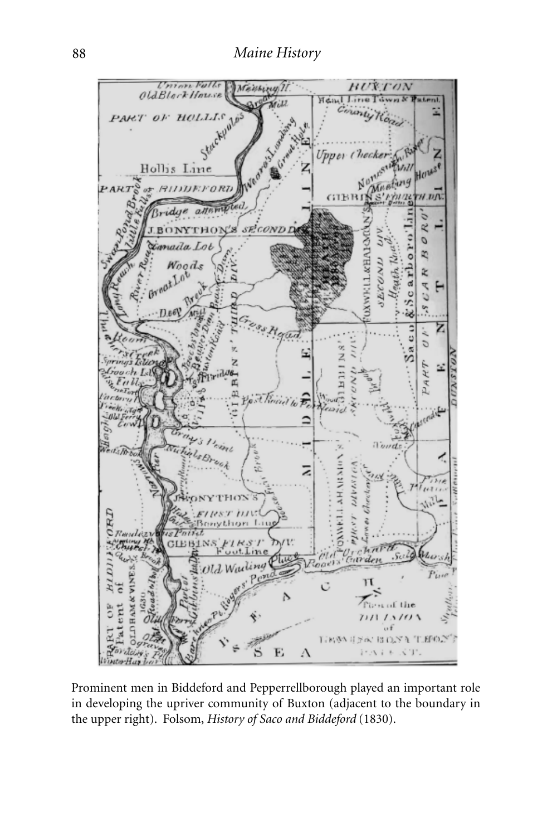

Prominent men in Biddeford and Pepperrellborough played an important role in developing the upriver community of Buxton (adjacent to the boundary in the upper right). Folsom, *History of Saco and Biddeford* (1830).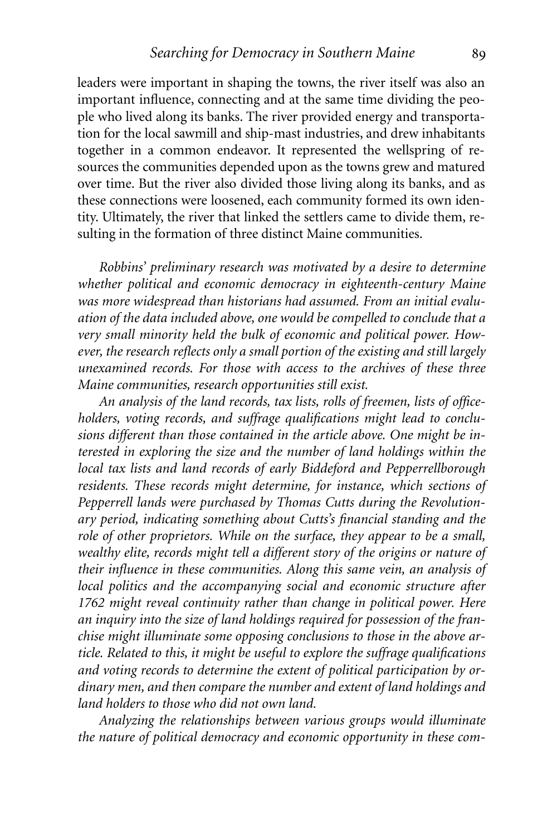leaders were important in shaping the towns, the river itself was also an important influence, connecting and at the same time dividing the people who lived along its banks. The river provided energy and transportation for the local sawmill and ship-mast industries, and drew inhabitants together in a common endeavor. It represented the wellspring of resources the communities depended upon as the towns grew and matured over time. But the river also divided those living along its banks, and as these connections were loosened, each community formed its own identity. Ultimately, the river that linked the settlers came to divide them, resulting in the formation of three distinct Maine communities.

*Robbins' preliminary research was motivated by a desire to determine whether political and economic democracy in eighteenth-century Maine was more widespread than historians had assumed. From an initial evaluation of the data included above, one would be compelled to conclude that a very small minority held the bulk of economic and political power. However, the research reflects only a small portion of the existing and still largely unexamined records. For those with access to the archives of these three Maine communities, research opportunities still exist.*

*An analysis of the land records, tax lists, rolls of freemen, lists of officeholders, voting records, and suffrage qualifications might lead to conclusions different than those contained in the article above. One might be interested in exploring the size and the number of land holdings within the local tax lists and land records of early Biddeford and Pepperrellborough residents. These records might determine, for instance, which sections of Pepperrell lands were purchased by Thomas Cutts during the Revolutionary period, indicating something about Cutts's financial standing and the role of other proprietors. While on the surface, they appear to be a small, wealthy elite, records might tell a different story of the origins or nature of their influence in these communities. Along this same vein, an analysis of local politics and the accompanying social and economic structure after 1762 might reveal continuity rather than change in political power. Here an inquiry into the size of land holdings required for possession of the franchise might illuminate some opposing conclusions to those in the above article. Related to this, it might be useful to explore the suffrage qualifications and voting records to determine the extent of political participation by ordinary men, and then compare the number and extent of land holdings and land holders to those who did not own land.*

*Analyzing the relationships between various groups would illuminate the nature of political democracy and economic opportunity in these com-*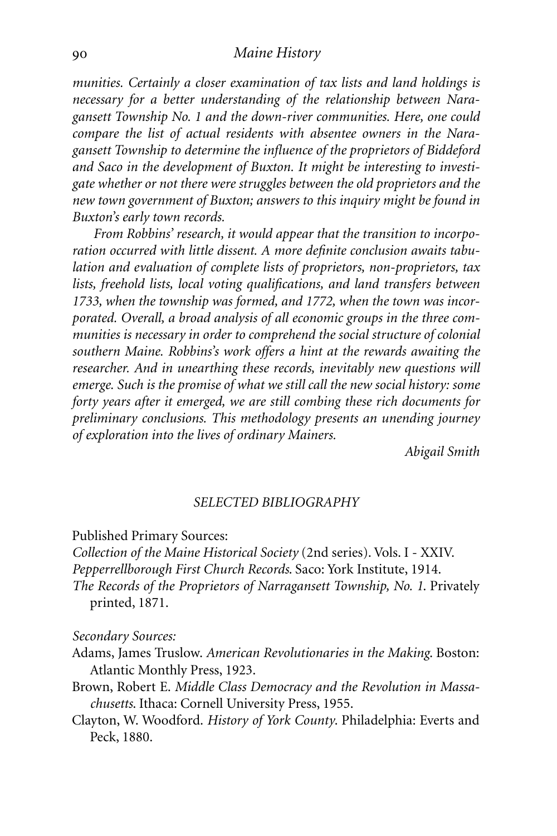*munities. Certainly a closer examination of tax lists and land holdings is necessary for a better understanding of the relationship between Naragansett Township No. 1 and the down-river communities. Here, one could compare the list of actual residents with absentee owners in the Naragansett Township to determine the influence of the proprietors of Biddeford and Saco in the development of Buxton. It might be interesting to investigate whether or not there were struggles between the old proprietors and the new town government of Buxton; answers to this inquiry might be found in Buxton's early town records.*

*From Robbins' research, it would appear that the transition to incorporation occurred with little dissent. A more definite conclusion awaits tabulation and evaluation of complete lists of proprietors, non-proprietors, tax lists, freehold lists, local voting qualifications, and land transfers between 1733, when the township was formed, and 1772, when the town was incorporated. Overall, a broad analysis of all economic groups in the three communities is necessary in order to comprehend the social structure of colonial southern Maine. Robbins's work offers a hint at the rewards awaiting the researcher. And in unearthing these records, inevitably new questions will emerge. Such is the promise of what we still call the new social history: some forty years after it emerged, we are still combing these rich documents for preliminary conclusions. This methodology presents an unending journey of exploration into the lives of ordinary Mainers.*

*Abigail Smith*

#### *SELECTED BIBLIOGRAPHY*

#### Published Primary Sources:

*Collection of the Maine Historical Society* (2nd series). Vols. I - XXIV. *Pepperrellborough First Church Records*. Saco: York Institute, 1914. *The Records of the Proprietors of Narragansett Township, No. 1*. Privately printed, 1871.

*Secondary Sources:*

- Adams, James Truslow. *American Revolutionaries in the Making*. Boston: Atlantic Monthly Press, 1923.
- Brown, Robert E. *Middle Class Democracy and the Revolution in Massachusetts*. Ithaca: Cornell University Press, 1955.
- Clayton, W. Woodford. *History of York County*. Philadelphia: Everts and Peck, 1880.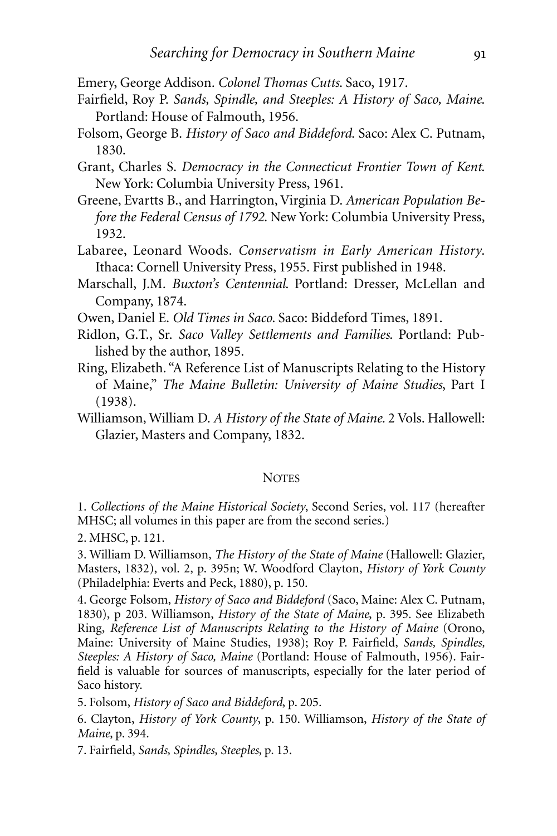Emery, George Addison. *Colonel Thomas Cutts*. Saco, 1917.

- Fairfield, Roy P. *Sands, Spindle, and Steeples: A History of Saco, Maine*. Portland: House of Falmouth, 1956.
- Folsom, George B. *History of Saco and Biddeford*. Saco: Alex C. Putnam, 1830.
- Grant, Charles S. *Democracy in the Connecticut Frontier Town of Kent*. New York: Columbia University Press, 1961.
- Greene, Evartts B., and Harrington, Virginia D. *American Population Before the Federal Census of 1792*. New York: Columbia University Press, 1932.
- Labaree, Leonard Woods. *Conservatism in Early American History*. Ithaca: Cornell University Press, 1955. First published in 1948.
- Marschall, J.M. *Buxton's Centennial*. Portland: Dresser, McLellan and Company, 1874.
- Owen, Daniel E. *Old Times in Saco*. Saco: Biddeford Times, 1891.
- Ridlon, G.T., Sr. *Saco Valley Settlements and Families*. Portland: Published by the author, 1895.
- Ring, Elizabeth. "A Reference List of Manuscripts Relating to the History of Maine," *The Maine Bulletin: University of Maine Studies*, Part I (1938).
- Williamson, William D. *A History of the State of Maine*. 2 Vols. Hallowell: Glazier, Masters and Company, 1832.

#### **NOTES**

1. *Collections of the Maine Historical Society*, Second Series, vol. 117 (hereafter MHSC; all volumes in this paper are from the second series.)

2. MHSC, p. 121.

3. William D. Williamson, *The History of the State of Maine* (Hallowell: Glazier, Masters, 1832), vol. 2, p. 395n; W. Woodford Clayton, *History of York County* (Philadelphia: Everts and Peck, 1880), p. 150.

4. George Folsom, *History of Saco and Biddeford* (Saco, Maine: Alex C. Putnam, 1830), p 203. Williamson, *History of the State of Maine*, p. 395. See Elizabeth Ring, *Reference List of Manuscripts Relating to the History of Maine* (Orono, Maine: University of Maine Studies, 1938); Roy P. Fairfield, *Sands, Spindles, Steeples: A History of Saco, Maine* (Portland: House of Falmouth, 1956). Fairfield is valuable for sources of manuscripts, especially for the later period of Saco history.

5. Folsom, *History of Saco and Biddeford*, p. 205.

6. Clayton, *History of York County*, p. 150. Williamson, *History of the State of Maine*, p. 394.

7. Fairfield, *Sands, Spindles, Steeples*, p. 13.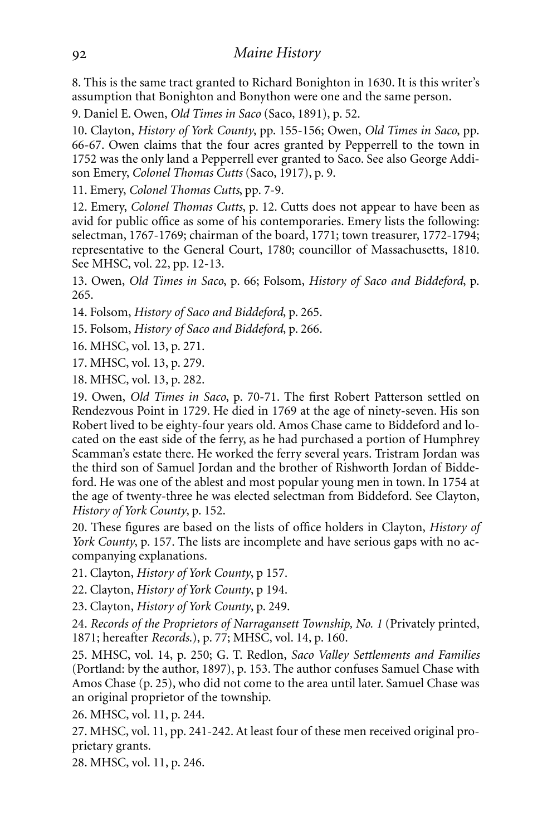8. This is the same tract granted to Richard Bonighton in 1630. It is this writer's assumption that Bonighton and Bonython were one and the same person.

9. Daniel E. Owen, *Old Times in Saco* (Saco, 1891), p. 52.

10. Clayton, *History of York County*, pp. 155-156; Owen, *Old Times in Saco*, pp. 66-67. Owen claims that the four acres granted by Pepperrell to the town in 1752 was the only land a Pepperrell ever granted to Saco. See also George Addison Emery, *Colonel Thomas Cutts* (Saco, 1917), p. 9.

11. Emery, *Colonel Thomas Cutts*, pp. 7-9.

12. Emery, *Colonel Thomas Cutts*, p. 12. Cutts does not appear to have been as avid for public office as some of his contemporaries. Emery lists the following: selectman, 1767-1769; chairman of the board, 1771; town treasurer, 1772-1794; representative to the General Court, 1780; councillor of Massachusetts, 1810. See MHSC, vol. 22, pp. 12-13.

13. Owen, *Old Times in Saco*, p. 66; Folsom, *History of Saco and Biddeford*, p. 265.

14. Folsom, *History of Saco and Biddeford*, p. 265.

15. Folsom, *History of Saco and Biddeford*, p. 266.

16. MHSC, vol. 13, p. 271.

17. MHSC, vol. 13, p. 279.

18. MHSC, vol. 13, p. 282.

19. Owen, *Old Times in Saco*, p. 70-71. The first Robert Patterson settled on Rendezvous Point in 1729. He died in 1769 at the age of ninety-seven. His son Robert lived to be eighty-four years old. Amos Chase came to Biddeford and located on the east side of the ferry, as he had purchased a portion of Humphrey Scamman's estate there. He worked the ferry several years. Tristram Jordan was the third son of Samuel Jordan and the brother of Rishworth Jordan of Biddeford. He was one of the ablest and most popular young men in town. In 1754 at the age of twenty-three he was elected selectman from Biddeford. See Clayton, *History of York County*, p. 152.

20. These figures are based on the lists of office holders in Clayton, *History of York County*, p. 157. The lists are incomplete and have serious gaps with no accompanying explanations.

21. Clayton, *History of York County*, p 157.

22. Clayton, *History of York County*, p 194.

23. Clayton, *History of York County*, p. 249.

24. *Records of the Proprietors of Narragansett Township, No. 1* (Privately printed, 1871; hereafter *Records*.), p. 77; MHSC, vol. 14, p. 160.

25. MHSC, vol. 14, p. 250; G. T. Redlon, *Saco Valley Settlements and Families* (Portland: by the author, 1897), p. 153. The author confuses Samuel Chase with Amos Chase (p. 25), who did not come to the area until later. Samuel Chase was an original proprietor of the township.

26. MHSC, vol. 11, p. 244.

27. MHSC, vol. 11, pp. 241-242. At least four of these men received original proprietary grants.

28. MHSC, vol. 11, p. 246.